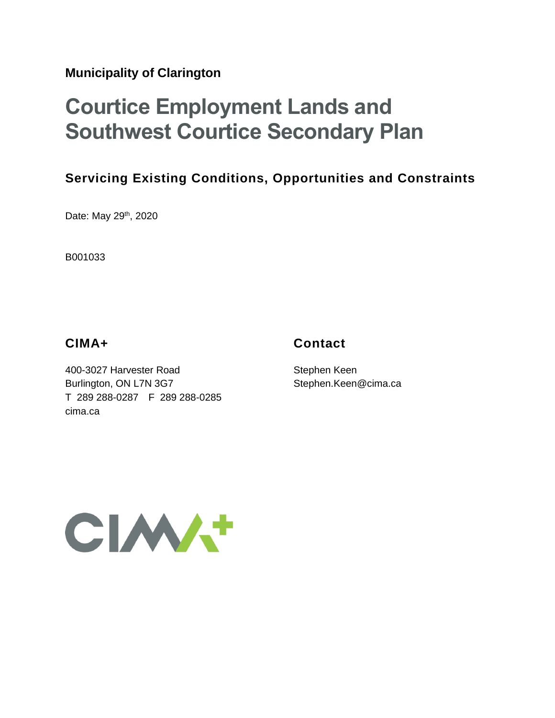**Municipality of Clarington**

# **Courtice Employment Lands and Southwest Courtice Secondary Plan**

# **Servicing Existing Conditions, Opportunities and Constraints**

Date: May 29<sup>th</sup>, 2020

B001033

#### **CIMA+**

## **Contact**

400-3027 Harvester Road Burlington, ON L7N 3G7 T 289 288-0287 F 289 288-0285 cima.ca

Stephen Keen Stephen.Keen@cima.ca

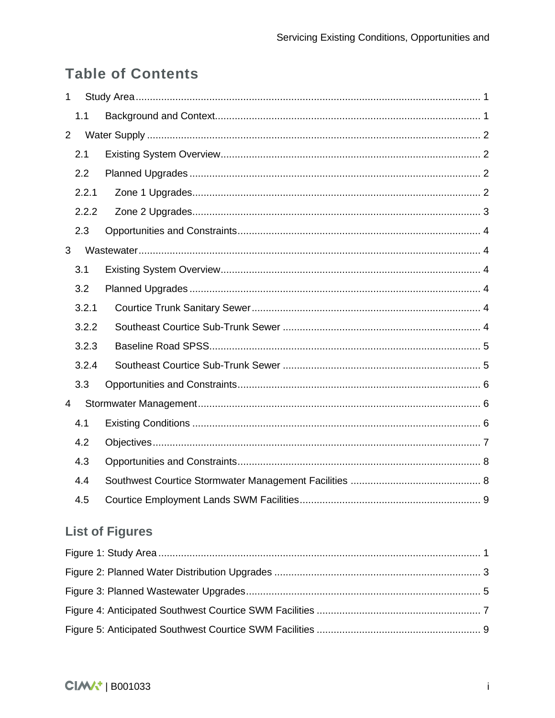# **Table of Contents**

| $\mathbf{1}$   |                        |  |  |  |  |
|----------------|------------------------|--|--|--|--|
|                | 1.1                    |  |  |  |  |
| $\overline{2}$ |                        |  |  |  |  |
|                | 2.1                    |  |  |  |  |
|                | 2.2                    |  |  |  |  |
|                | 2.2.1                  |  |  |  |  |
|                | 2.2.2                  |  |  |  |  |
|                | 2.3                    |  |  |  |  |
| 3              |                        |  |  |  |  |
|                | 3.1                    |  |  |  |  |
|                | 3.2                    |  |  |  |  |
|                | 3.2.1                  |  |  |  |  |
|                | 3.2.2                  |  |  |  |  |
|                | 3.2.3                  |  |  |  |  |
|                | 3.2.4                  |  |  |  |  |
|                | 3.3                    |  |  |  |  |
| $\overline{4}$ |                        |  |  |  |  |
|                | 4.1                    |  |  |  |  |
|                | 4.2                    |  |  |  |  |
|                | 4.3                    |  |  |  |  |
|                | 4.4                    |  |  |  |  |
|                | 4.5                    |  |  |  |  |
|                | <b>List of Figures</b> |  |  |  |  |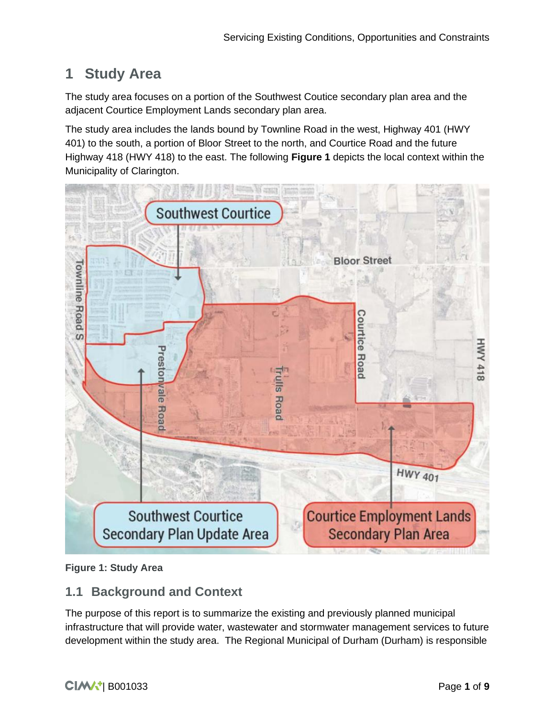# <span id="page-2-0"></span>**1 Study Area**

The study area focuses on a portion of the Southwest Coutice secondary plan area and the adjacent Courtice Employment Lands secondary plan area.

The study area includes the lands bound by Townline Road in the west, Highway 401 (HWY 401) to the south, a portion of Bloor Street to the north, and Courtice Road and the future Highway 418 (HWY 418) to the east. The following **Figure 1** depicts the local context within the Municipality of Clarington.



<span id="page-2-2"></span>**Figure 1: Study Area**

#### <span id="page-2-1"></span>**1.1 Background and Context**

The purpose of this report is to summarize the existing and previously planned municipal infrastructure that will provide water, wastewater and stormwater management services to future development within the study area. The Regional Municipal of Durham (Durham) is responsible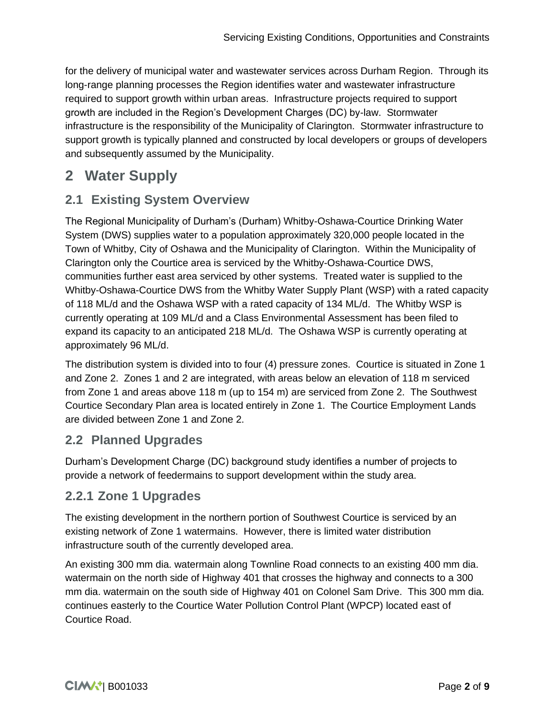for the delivery of municipal water and wastewater services across Durham Region. Through its long-range planning processes the Region identifies water and wastewater infrastructure required to support growth within urban areas. Infrastructure projects required to support growth are included in the Region's Development Charges (DC) by-law. Stormwater infrastructure is the responsibility of the Municipality of Clarington. Stormwater infrastructure to support growth is typically planned and constructed by local developers or groups of developers and subsequently assumed by the Municipality.

# <span id="page-3-0"></span>**2 Water Supply**

## <span id="page-3-1"></span>**2.1 Existing System Overview**

The Regional Municipality of Durham's (Durham) Whitby-Oshawa-Courtice Drinking Water System (DWS) supplies water to a population approximately 320,000 people located in the Town of Whitby, City of Oshawa and the Municipality of Clarington. Within the Municipality of Clarington only the Courtice area is serviced by the Whitby-Oshawa-Courtice DWS, communities further east area serviced by other systems. Treated water is supplied to the Whitby-Oshawa-Courtice DWS from the Whitby Water Supply Plant (WSP) with a rated capacity of 118 ML/d and the Oshawa WSP with a rated capacity of 134 ML/d. The Whitby WSP is currently operating at 109 ML/d and a Class Environmental Assessment has been filed to expand its capacity to an anticipated 218 ML/d. The Oshawa WSP is currently operating at approximately 96 ML/d.

The distribution system is divided into to four (4) pressure zones. Courtice is situated in Zone 1 and Zone 2. Zones 1 and 2 are integrated, with areas below an elevation of 118 m serviced from Zone 1 and areas above 118 m (up to 154 m) are serviced from Zone 2. The Southwest Courtice Secondary Plan area is located entirely in Zone 1. The Courtice Employment Lands are divided between Zone 1 and Zone 2.

# <span id="page-3-2"></span>**2.2 Planned Upgrades**

Durham's Development Charge (DC) background study identifies a number of projects to provide a network of feedermains to support development within the study area.

# <span id="page-3-3"></span>**2.2.1 Zone 1 Upgrades**

The existing development in the northern portion of Southwest Courtice is serviced by an existing network of Zone 1 watermains. However, there is limited water distribution infrastructure south of the currently developed area.

An existing 300 mm dia. watermain along Townline Road connects to an existing 400 mm dia. watermain on the north side of Highway 401 that crosses the highway and connects to a 300 mm dia. watermain on the south side of Highway 401 on Colonel Sam Drive. This 300 mm dia. continues easterly to the Courtice Water Pollution Control Plant (WPCP) located east of Courtice Road.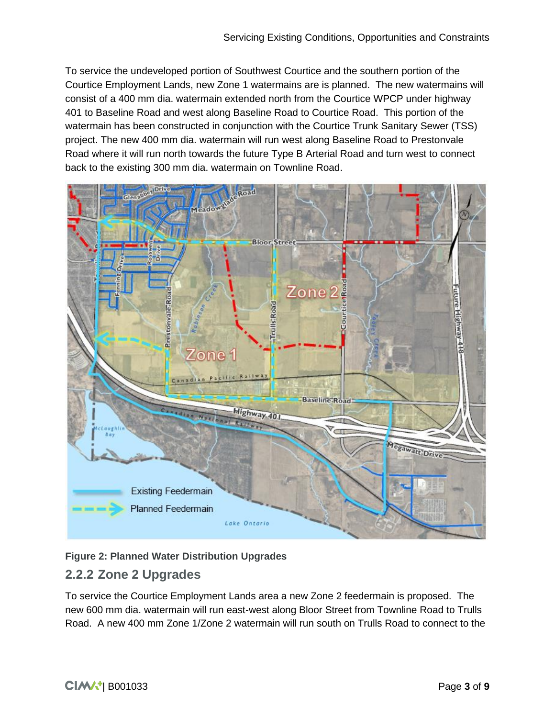To service the undeveloped portion of Southwest Courtice and the southern portion of the Courtice Employment Lands, new Zone 1 watermains are is planned. The new watermains will consist of a 400 mm dia. watermain extended north from the Courtice WPCP under highway 401 to Baseline Road and west along Baseline Road to Courtice Road. This portion of the watermain has been constructed in conjunction with the Courtice Trunk Sanitary Sewer (TSS) project. The new 400 mm dia. watermain will run west along Baseline Road to Prestonvale Road where it will run north towards the future Type B Arterial Road and turn west to connect back to the existing 300 mm dia. watermain on Townline Road.



<span id="page-4-1"></span>**Figure 2: Planned Water Distribution Upgrades**

# <span id="page-4-0"></span>**2.2.2 Zone 2 Upgrades**

To service the Courtice Employment Lands area a new Zone 2 feedermain is proposed. The new 600 mm dia. watermain will run east-west along Bloor Street from Townline Road to Trulls Road. A new 400 mm Zone 1/Zone 2 watermain will run south on Trulls Road to connect to the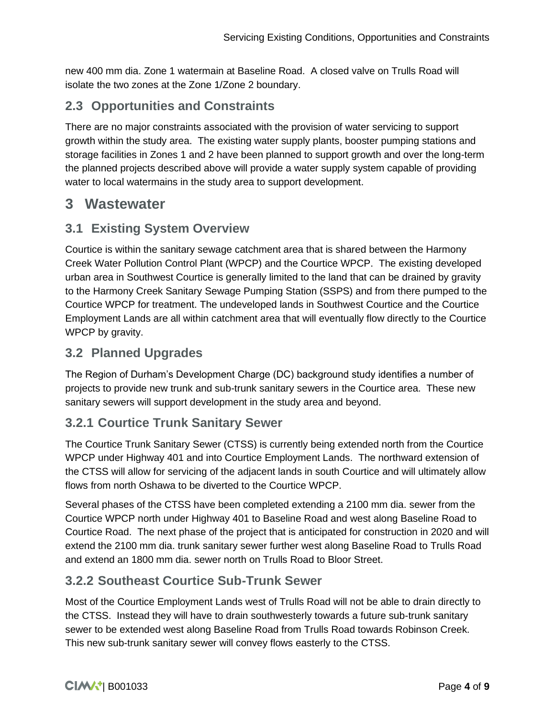new 400 mm dia. Zone 1 watermain at Baseline Road. A closed valve on Trulls Road will isolate the two zones at the Zone 1/Zone 2 boundary.

# <span id="page-5-0"></span>**2.3 Opportunities and Constraints**

There are no major constraints associated with the provision of water servicing to support growth within the study area. The existing water supply plants, booster pumping stations and storage facilities in Zones 1 and 2 have been planned to support growth and over the long-term the planned projects described above will provide a water supply system capable of providing water to local watermains in the study area to support development.

# <span id="page-5-1"></span>**3 Wastewater**

## <span id="page-5-2"></span>**3.1 Existing System Overview**

Courtice is within the sanitary sewage catchment area that is shared between the Harmony Creek Water Pollution Control Plant (WPCP) and the Courtice WPCP. The existing developed urban area in Southwest Courtice is generally limited to the land that can be drained by gravity to the Harmony Creek Sanitary Sewage Pumping Station (SSPS) and from there pumped to the Courtice WPCP for treatment. The undeveloped lands in Southwest Courtice and the Courtice Employment Lands are all within catchment area that will eventually flow directly to the Courtice WPCP by gravity.

#### <span id="page-5-3"></span>**3.2 Planned Upgrades**

The Region of Durham's Development Charge (DC) background study identifies a number of projects to provide new trunk and sub-trunk sanitary sewers in the Courtice area. These new sanitary sewers will support development in the study area and beyond.

#### <span id="page-5-4"></span>**3.2.1 Courtice Trunk Sanitary Sewer**

The Courtice Trunk Sanitary Sewer (CTSS) is currently being extended north from the Courtice WPCP under Highway 401 and into Courtice Employment Lands. The northward extension of the CTSS will allow for servicing of the adjacent lands in south Courtice and will ultimately allow flows from north Oshawa to be diverted to the Courtice WPCP.

Several phases of the CTSS have been completed extending a 2100 mm dia. sewer from the Courtice WPCP north under Highway 401 to Baseline Road and west along Baseline Road to Courtice Road. The next phase of the project that is anticipated for construction in 2020 and will extend the 2100 mm dia. trunk sanitary sewer further west along Baseline Road to Trulls Road and extend an 1800 mm dia. sewer north on Trulls Road to Bloor Street.

#### <span id="page-5-5"></span>**3.2.2 Southeast Courtice Sub-Trunk Sewer**

Most of the Courtice Employment Lands west of Trulls Road will not be able to drain directly to the CTSS. Instead they will have to drain southwesterly towards a future sub-trunk sanitary sewer to be extended west along Baseline Road from Trulls Road towards Robinson Creek. This new sub-trunk sanitary sewer will convey flows easterly to the CTSS.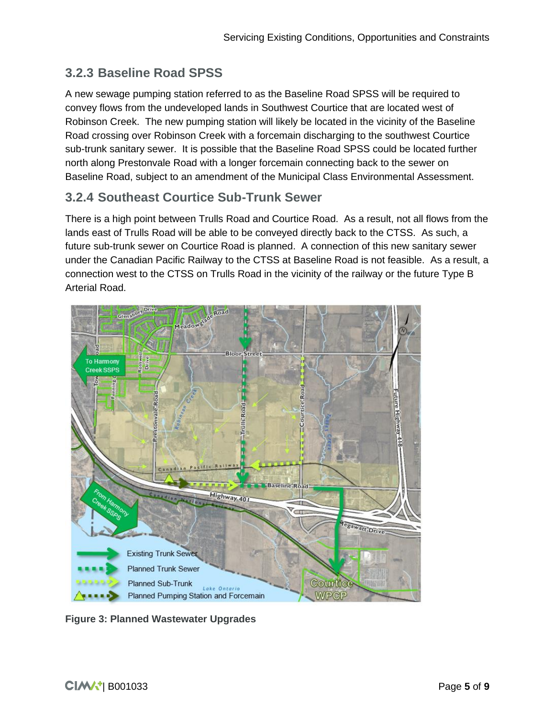## <span id="page-6-0"></span>**3.2.3 Baseline Road SPSS**

A new sewage pumping station referred to as the Baseline Road SPSS will be required to convey flows from the undeveloped lands in Southwest Courtice that are located west of Robinson Creek. The new pumping station will likely be located in the vicinity of the Baseline Road crossing over Robinson Creek with a forcemain discharging to the southwest Courtice sub-trunk sanitary sewer. It is possible that the Baseline Road SPSS could be located further north along Prestonvale Road with a longer forcemain connecting back to the sewer on Baseline Road, subject to an amendment of the Municipal Class Environmental Assessment.

#### <span id="page-6-1"></span>**3.2.4 Southeast Courtice Sub-Trunk Sewer**

There is a high point between Trulls Road and Courtice Road. As a result, not all flows from the lands east of Trulls Road will be able to be conveyed directly back to the CTSS. As such, a future sub-trunk sewer on Courtice Road is planned. A connection of this new sanitary sewer under the Canadian Pacific Railway to the CTSS at Baseline Road is not feasible. As a result, a connection west to the CTSS on Trulls Road in the vicinity of the railway or the future Type B Arterial Road.



<span id="page-6-2"></span>**Figure 3: Planned Wastewater Upgrades**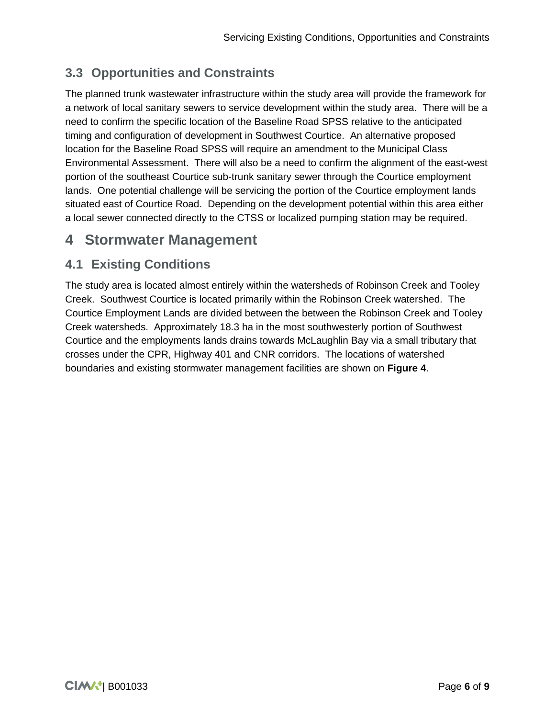# <span id="page-7-0"></span>**3.3 Opportunities and Constraints**

The planned trunk wastewater infrastructure within the study area will provide the framework for a network of local sanitary sewers to service development within the study area. There will be a need to confirm the specific location of the Baseline Road SPSS relative to the anticipated timing and configuration of development in Southwest Courtice. An alternative proposed location for the Baseline Road SPSS will require an amendment to the Municipal Class Environmental Assessment. There will also be a need to confirm the alignment of the east-west portion of the southeast Courtice sub-trunk sanitary sewer through the Courtice employment lands. One potential challenge will be servicing the portion of the Courtice employment lands situated east of Courtice Road. Depending on the development potential within this area either a local sewer connected directly to the CTSS or localized pumping station may be required.

# <span id="page-7-1"></span>**4 Stormwater Management**

# <span id="page-7-2"></span>**4.1 Existing Conditions**

The study area is located almost entirely within the watersheds of Robinson Creek and Tooley Creek. Southwest Courtice is located primarily within the Robinson Creek watershed. The Courtice Employment Lands are divided between the between the Robinson Creek and Tooley Creek watersheds. Approximately 18.3 ha in the most southwesterly portion of Southwest Courtice and the employments lands drains towards McLaughlin Bay via a small tributary that crosses under the CPR, Highway 401 and CNR corridors. The locations of watershed boundaries and existing stormwater management facilities are shown on **Figure 4**.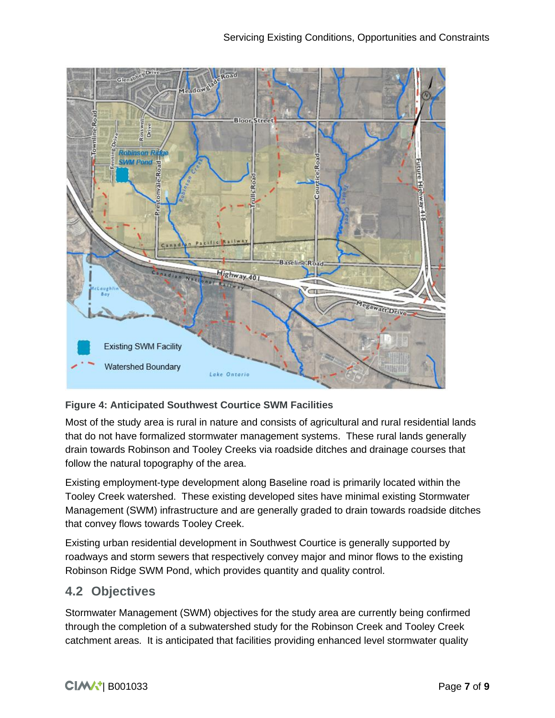

#### <span id="page-8-1"></span>**Figure 4: Anticipated Southwest Courtice SWM Facilities**

Most of the study area is rural in nature and consists of agricultural and rural residential lands that do not have formalized stormwater management systems. These rural lands generally drain towards Robinson and Tooley Creeks via roadside ditches and drainage courses that follow the natural topography of the area.

Existing employment-type development along Baseline road is primarily located within the Tooley Creek watershed. These existing developed sites have minimal existing Stormwater Management (SWM) infrastructure and are generally graded to drain towards roadside ditches that convey flows towards Tooley Creek.

Existing urban residential development in Southwest Courtice is generally supported by roadways and storm sewers that respectively convey major and minor flows to the existing Robinson Ridge SWM Pond, which provides quantity and quality control.

#### <span id="page-8-0"></span>**4.2 Objectives**

Stormwater Management (SWM) objectives for the study area are currently being confirmed through the completion of a subwatershed study for the Robinson Creek and Tooley Creek catchment areas. It is anticipated that facilities providing enhanced level stormwater quality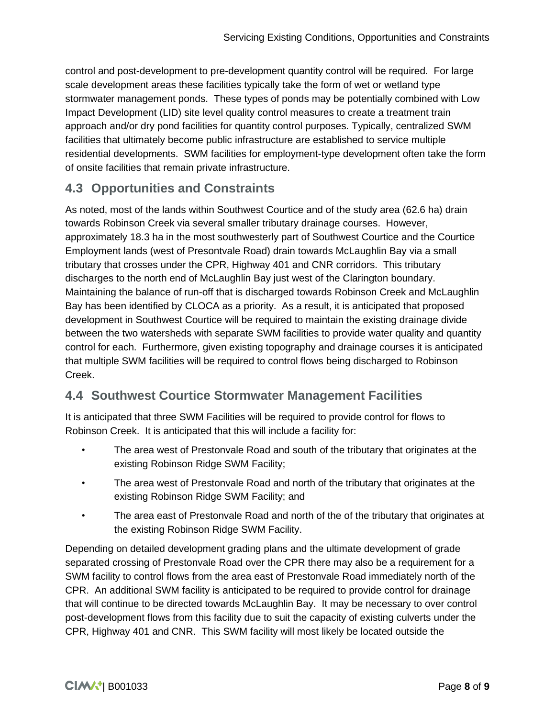control and post-development to pre-development quantity control will be required. For large scale development areas these facilities typically take the form of wet or wetland type stormwater management ponds. These types of ponds may be potentially combined with Low Impact Development (LID) site level quality control measures to create a treatment train approach and/or dry pond facilities for quantity control purposes. Typically, centralized SWM facilities that ultimately become public infrastructure are established to service multiple residential developments. SWM facilities for employment-type development often take the form of onsite facilities that remain private infrastructure.

# <span id="page-9-0"></span>**4.3 Opportunities and Constraints**

As noted, most of the lands within Southwest Courtice and of the study area (62.6 ha) drain towards Robinson Creek via several smaller tributary drainage courses. However, approximately 18.3 ha in the most southwesterly part of Southwest Courtice and the Courtice Employment lands (west of Presontvale Road) drain towards McLaughlin Bay via a small tributary that crosses under the CPR, Highway 401 and CNR corridors. This tributary discharges to the north end of McLaughlin Bay just west of the Clarington boundary. Maintaining the balance of run-off that is discharged towards Robinson Creek and McLaughlin Bay has been identified by CLOCA as a priority. As a result, it is anticipated that proposed development in Southwest Courtice will be required to maintain the existing drainage divide between the two watersheds with separate SWM facilities to provide water quality and quantity control for each. Furthermore, given existing topography and drainage courses it is anticipated that multiple SWM facilities will be required to control flows being discharged to Robinson Creek.

# <span id="page-9-1"></span>**4.4 Southwest Courtice Stormwater Management Facilities**

It is anticipated that three SWM Facilities will be required to provide control for flows to Robinson Creek. It is anticipated that this will include a facility for:

- The area west of Prestonvale Road and south of the tributary that originates at the existing Robinson Ridge SWM Facility;
- The area west of Prestonvale Road and north of the tributary that originates at the existing Robinson Ridge SWM Facility; and
- The area east of Prestonvale Road and north of the of the tributary that originates at the existing Robinson Ridge SWM Facility.

Depending on detailed development grading plans and the ultimate development of grade separated crossing of Prestonvale Road over the CPR there may also be a requirement for a SWM facility to control flows from the area east of Prestonvale Road immediately north of the CPR. An additional SWM facility is anticipated to be required to provide control for drainage that will continue to be directed towards McLaughlin Bay. It may be necessary to over control post-development flows from this facility due to suit the capacity of existing culverts under the CPR, Highway 401 and CNR. This SWM facility will most likely be located outside the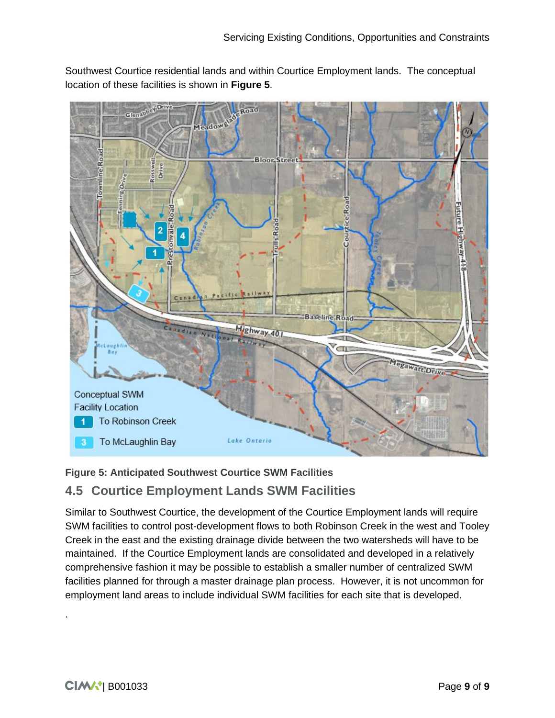Southwest Courtice residential lands and within Courtice Employment lands. The conceptual location of these facilities is shown in **Figure 5**.



#### <span id="page-10-1"></span>**Figure 5: Anticipated Southwest Courtice SWM Facilities**

#### <span id="page-10-0"></span>**4.5 Courtice Employment Lands SWM Facilities**

Similar to Southwest Courtice, the development of the Courtice Employment lands will require SWM facilities to control post-development flows to both Robinson Creek in the west and Tooley Creek in the east and the existing drainage divide between the two watersheds will have to be maintained. If the Courtice Employment lands are consolidated and developed in a relatively comprehensive fashion it may be possible to establish a smaller number of centralized SWM facilities planned for through a master drainage plan process. However, it is not uncommon for employment land areas to include individual SWM facilities for each site that is developed.

.